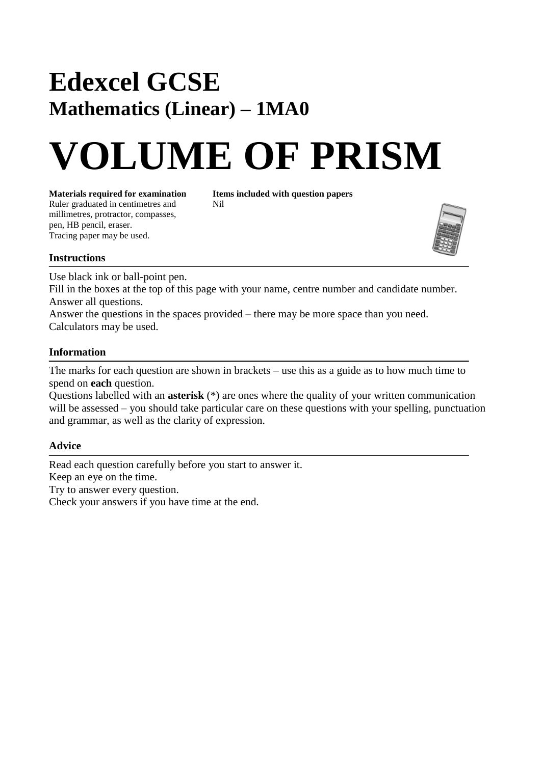## **Edexcel GCSE Mathematics (Linear) – 1MA0**

# **VOLUME OF PRISM**

**Materials required for examination Items included with question papers**<br>Ruler graduated in centimetres and **Nil** Ruler graduated in centimetres and millimetres, protractor, compasses, pen, HB pencil, eraser. Tracing paper may be used.



#### **Instructions**

Use black ink or ball-point pen.

Fill in the boxes at the top of this page with your name, centre number and candidate number. Answer all questions.

Answer the questions in the spaces provided – there may be more space than you need. Calculators may be used.

#### **Information**

The marks for each question are shown in brackets – use this as a guide as to how much time to spend on **each** question.

Questions labelled with an **asterisk** (\*) are ones where the quality of your written communication will be assessed – you should take particular care on these questions with your spelling, punctuation and grammar, as well as the clarity of expression.

#### **Advice**

Read each question carefully before you start to answer it. Keep an eye on the time. Try to answer every question. Check your answers if you have time at the end.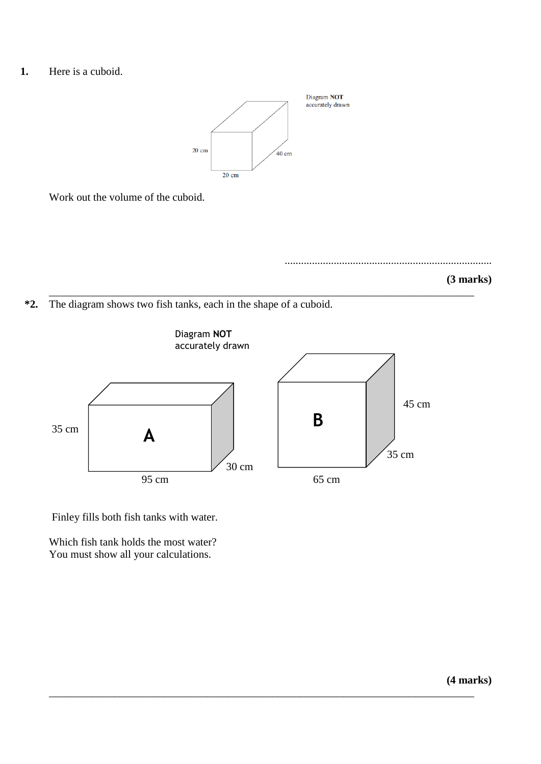**1.** Here is a cuboid.



\_\_\_\_\_\_\_\_\_\_\_\_\_\_\_\_\_\_\_\_\_\_\_\_\_\_\_\_\_\_\_\_\_\_\_\_\_\_\_\_\_\_\_\_\_\_\_\_\_\_\_\_\_\_\_\_\_\_\_\_\_\_\_\_\_\_\_\_\_\_\_\_\_\_\_\_\_\_

Work out the volume of the cuboid.





**\*2.** The diagram shows two fish tanks, each in the shape of a cuboid.



\_\_\_\_\_\_\_\_\_\_\_\_\_\_\_\_\_\_\_\_\_\_\_\_\_\_\_\_\_\_\_\_\_\_\_\_\_\_\_\_\_\_\_\_\_\_\_\_\_\_\_\_\_\_\_\_\_\_\_\_\_\_\_\_\_\_\_\_\_\_\_\_\_\_\_\_\_\_

Finley fills both fish tanks with water.

Which fish tank holds the most water? You must show all your calculations.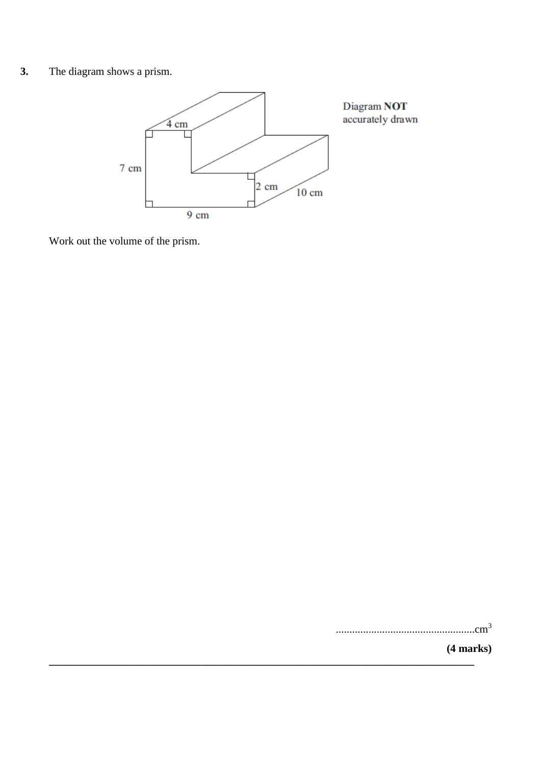#### $3.$ The diagram shows a prism.



Work out the volume of the prism.

 $(4 marks)$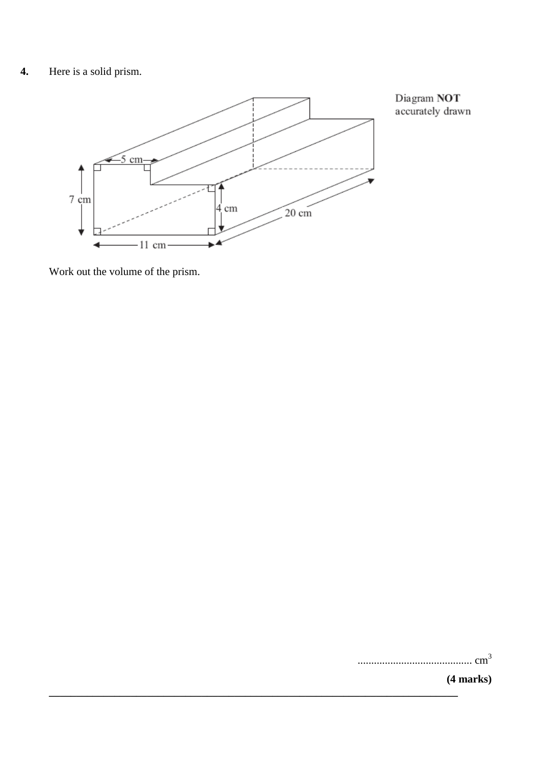### **4.** Here is a solid prism.



**\_\_\_\_\_\_\_\_\_\_\_\_\_\_\_\_\_\_\_\_\_\_\_\_\_\_\_\_\_\_\_\_\_\_\_\_\_\_\_\_\_\_\_\_\_\_\_\_\_\_\_\_\_\_\_\_\_\_\_\_\_\_\_\_\_\_\_\_\_\_\_\_\_\_\_**

Work out the volume of the prism.

|  | (4 marks) |
|--|-----------|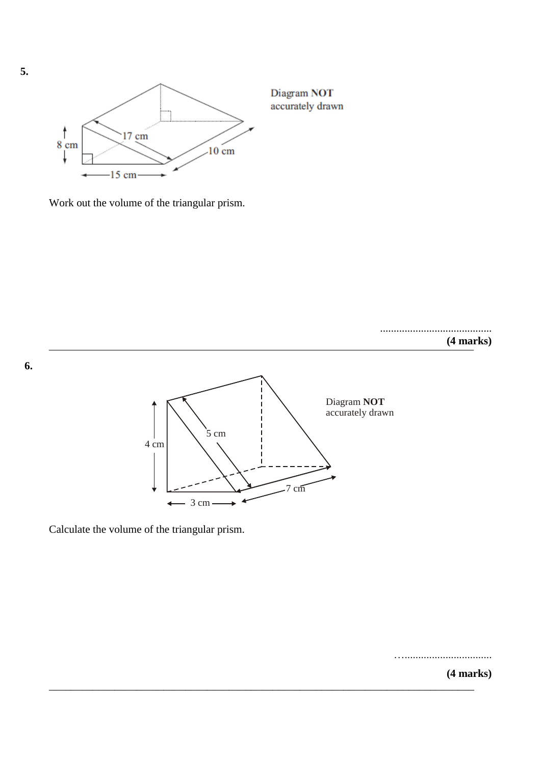

Work out the volume of the triangular prism.

.........................................

**(4 marks)**



Calculate the volume of the triangular prism.

…................................

**(4 marks)** \_\_\_\_\_\_\_\_\_\_\_\_\_\_\_\_\_\_\_\_\_\_\_\_\_\_\_\_\_\_\_\_\_\_\_\_\_\_\_\_\_\_\_\_\_\_\_\_\_\_\_\_\_\_\_\_\_\_\_\_\_\_\_\_\_\_\_\_\_\_\_\_\_\_\_\_\_\_

**6.**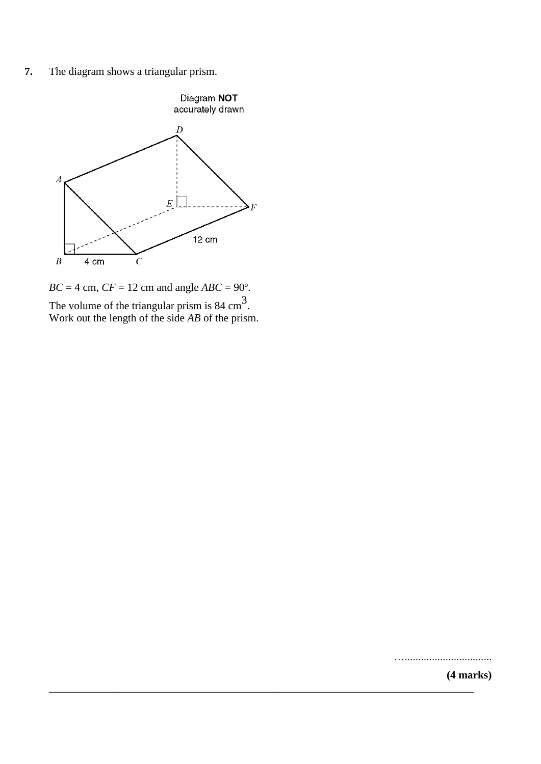**7.** The diagram shows a triangular prism.



 $BC = 4$  cm,  $CF = 12$  cm and angle  $ABC = 90^\circ$ . The volume of the triangular prism is  $84 \text{ cm}^3$ . Work out the length of the side *AB* of the prism.

…................................

**(4 marks)** \_\_\_\_\_\_\_\_\_\_\_\_\_\_\_\_\_\_\_\_\_\_\_\_\_\_\_\_\_\_\_\_\_\_\_\_\_\_\_\_\_\_\_\_\_\_\_\_\_\_\_\_\_\_\_\_\_\_\_\_\_\_\_\_\_\_\_\_\_\_\_\_\_\_\_\_\_\_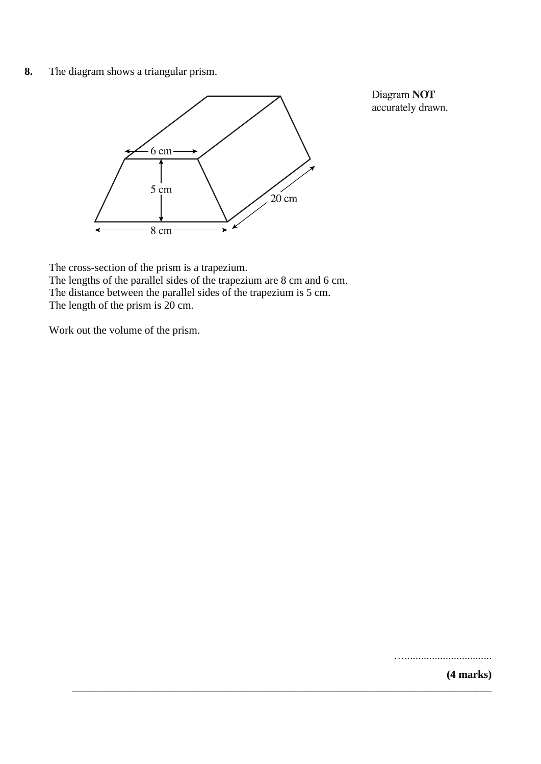**8.** The diagram shows a triangular prism.



Diagram NOT accurately drawn.

The cross-section of the prism is a trapezium. The lengths of the parallel sides of the trapezium are 8 cm and 6 cm. The distance between the parallel sides of the trapezium is 5 cm. The length of the prism is 20 cm.

Work out the volume of the prism.

…................................

**(4 marks)** \_\_\_\_\_\_\_\_\_\_\_\_\_\_\_\_\_\_\_\_\_\_\_\_\_\_\_\_\_\_\_\_\_\_\_\_\_\_\_\_\_\_\_\_\_\_\_\_\_\_\_\_\_\_\_\_\_\_\_\_\_\_\_\_\_\_\_\_\_\_\_\_\_\_\_\_\_